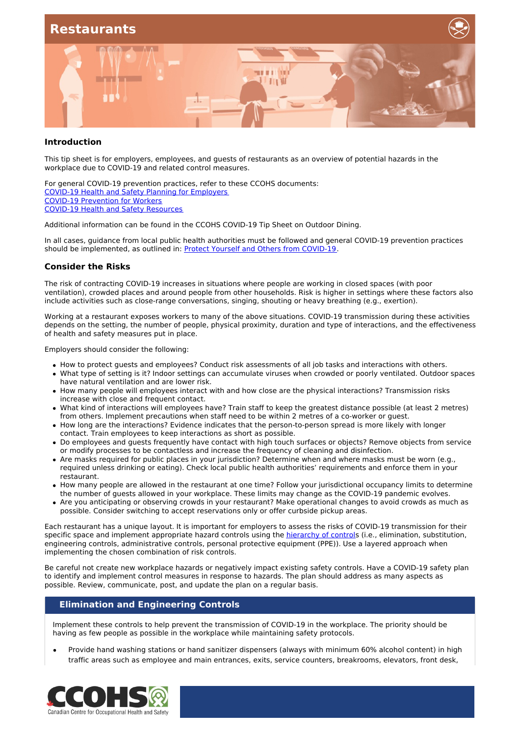

#### **Introduction**

This tip sheet is for employers, employees, and guests of restaurants as an overview of potential hazards in the workplace due to COVID-19 and related control measures.

For general COVID-19 prevention practices, refer to these CCOHS documents: COVID-19 Health and Safety Planning for [Employers](https://www.ccohs.ca/products/publications/covid19-employers/) COVID-19 [Prevention](https://www.ccohs.ca/products/publications/covid19-workers/) for Workers COVID-19 Health and Safety [Resources](https://www.ccohs.ca/products/publications/covid19-tool-kit/)

Additional information can be found in the CCOHS COVID-19 Tip Sheet on Outdoor Dining.

In all cases, guidance from local public health authorities must be followed and general COVID-19 prevention practices should be implemented, as outlined in: Protect Yourself and Others from [COVID-19](https://www.ccohs.ca/covid19/protect-yourself).

#### **Consider the Risks**

The risk of contracting COVID-19 increases in situations where people are working in closed spaces (with poor ventilation), crowded places and around people from other households. Risk is higher in settings where these factors also include activities such as close-range conversations, singing, shouting or heavy breathing (e.g., exertion).

Working at a restaurant exposes workers to many of the above situations. COVID-19 transmission during these activities depends on the setting, the number of people, physical proximity, duration and type of interactions, and the effectiveness of health and safety measures put in place.

Employers should consider the following:

- How to protect guests and employees? Conduct risk assessments of all job tasks and interactions with others.
- What type of setting is it? Indoor settings can accumulate viruses when crowded or poorly ventilated. Outdoor spaces have natural ventilation and are lower risk.
- How many people will employees interact with and how close are the physical interactions? Transmission risks increase with close and frequent contact.
- What kind of interactions will employees have? Train staff to keep the greatest distance possible (at least 2 metres) from others. Implement precautions when staff need to be within 2 metres of a co-worker or guest.
- How long are the interactions? Evidence indicates that the person-to-person spread is more likely with longer contact. Train employees to keep interactions as short as possible.
- Do employees and guests frequently have contact with high touch surfaces or objects? Remove objects from service or modify processes to be contactless and increase the frequency of cleaning and disinfection.
- Are masks required for public places in your jurisdiction? Determine when and where masks must be worn (e.g., required unless drinking or eating). Check local public health authorities' requirements and enforce them in your restaurant.
- How many people are allowed in the restaurant at one time? Follow your jurisdictional occupancy limits to determine the number of guests allowed in your workplace. These limits may change as the COVID-19 pandemic evolves.
- Are you anticipating or observing crowds in your restaurant? Make operational changes to avoid crowds as much as possible. Consider switching to accept reservations only or offer curbside pickup areas.

Each restaurant has a unique layout. It is important for employers to assess the risks of COVID-19 transmission for their specific space and implement appropriate hazard controls using the [hierarchy](https://www.ccohs.ca/images/products/infographics/download/hierarchy-covid.png) of controls (i.e., elimination, substitution, engineering controls, administrative controls, personal protective equipment (PPE)). Use a layered approach when implementing the chosen combination of risk controls.

Be careful not create new workplace hazards or negatively impact existing safety controls. Have a COVID-19 safety plan to identify and implement control measures in response to hazards. The plan should address as many aspects as possible. Review, communicate, post, and update the plan on a regular basis.

### **Elimination and Engineering Controls**

Implement these controls to help prevent the transmission of COVID-19 in the workplace. The priority should be having as few people as possible in the workplace while maintaining safety protocols.

Provide hand washing stations or hand sanitizer dispensers (always with minimum 60% alcohol content) in high traffic areas such as employee and main entrances, exits, service counters, breakrooms, elevators, front desk,

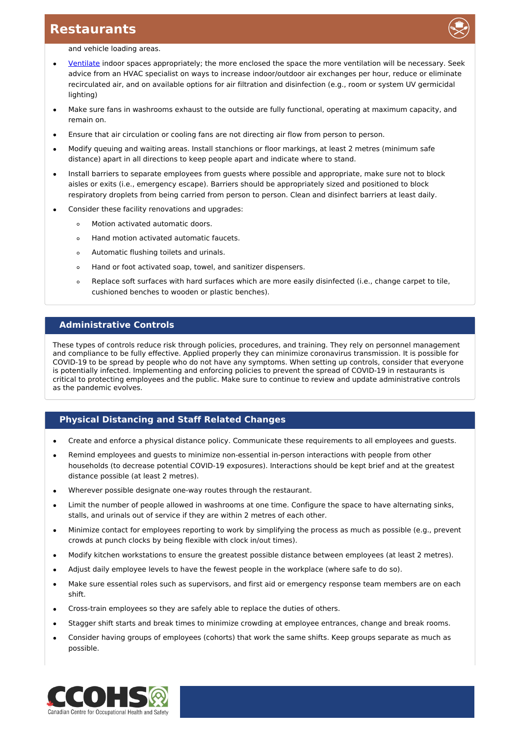

and vehicle loading areas.

- [Ventilate](https://www.ccohs.ca/covid19/indoor-ventilation/) indoor spaces appropriately; the more enclosed the space the more ventilation will be necessary. Seek advice from an HVAC specialist on ways to increase indoor/outdoor air exchanges per hour, reduce or eliminate recirculated air, and on available options for air filtration and disinfection (e.g., room or system UV germicidal lighting)
- Make sure fans in washrooms exhaust to the outside are fully functional, operating at maximum capacity, and remain on.
- Ensure that air circulation or cooling fans are not directing air flow from person to person.
- Modify queuing and waiting areas. Install stanchions or floor markings, at least 2 metres (minimum safe distance) apart in all directions to keep people apart and indicate where to stand.
- Install barriers to separate employees from guests where possible and appropriate, make sure not to block aisles or exits (i.e., emergency escape). Barriers should be appropriately sized and positioned to block respiratory droplets from being carried from person to person. Clean and disinfect barriers at least daily.
- Consider these facility renovations and upgrades:
	- Motion activated automatic doors.  $\circ$
	- Hand motion activated automatic faucets.  $\circ$
	- Automatic flushing toilets and urinals.  $\circ$
	- Hand or foot activated soap, towel, and sanitizer dispensers.  $\circ$
	- $\circ$ Replace soft surfaces with hard surfaces which are more easily disinfected (i.e., change carpet to tile, cushioned benches to wooden or plastic benches).

### **Administrative Controls**

These types of controls reduce risk through policies, procedures, and training. They rely on personnel management and compliance to be fully effective. Applied properly they can minimize coronavirus transmission. It is possible for COVID-19 to be spread by people who do not have any symptoms. When setting up controls, consider that everyone is potentially infected. Implementing and enforcing policies to prevent the spread of COVID-19 in restaurants is critical to protecting employees and the public. Make sure to continue to review and update administrative controls as the pandemic evolves.

### **Physical Distancing and Staff Related Changes**

- Create and enforce a physical distance policy. Communicate these requirements to all employees and guests.  $\bullet$
- Remind employees and guests to minimize non-essential in-person interactions with people from other households (to decrease potential COVID-19 exposures). Interactions should be kept brief and at the greatest distance possible (at least 2 metres).
- Wherever possible designate one-way routes through the restaurant.
- Limit the number of people allowed in washrooms at one time. Configure the space to have alternating sinks, stalls, and urinals out of service if they are within 2 metres of each other.
- Minimize contact for employees reporting to work by simplifying the process as much as possible (e.g., prevent crowds at punch clocks by being flexible with clock in/out times).
- Modify kitchen workstations to ensure the greatest possible distance between employees (at least 2 metres).
- Adjust daily employee levels to have the fewest people in the workplace (where safe to do so).
- Make sure essential roles such as supervisors, and first aid or emergency response team members are on each shift.
- Cross-train employees so they are safely able to replace the duties of others.
- Stagger shift starts and break times to minimize crowding at employee entrances, change and break rooms.
- Consider having groups of employees (cohorts) that work the same shifts. Keep groups separate as much as possible.

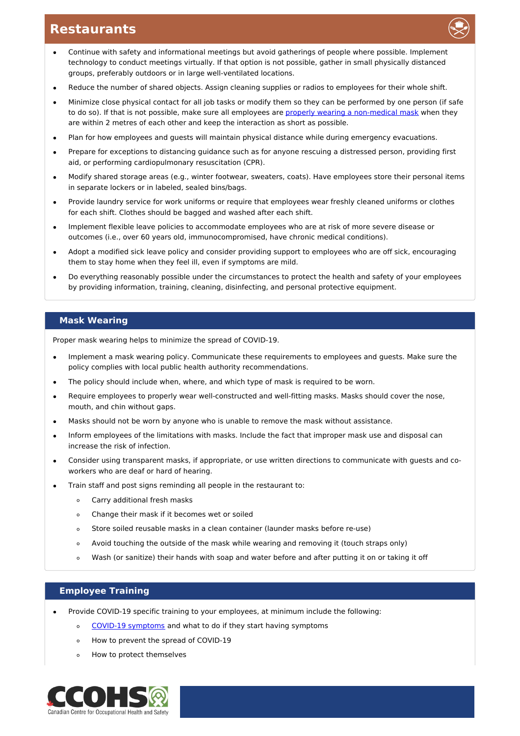

- Reduce the number of shared objects. Assign cleaning supplies or radios to employees for their whole shift.
- Minimize close physical contact for all job tasks or modify them so they can be performed by one person (if safe to do so). If that is not possible, make sure all employees are properly wearing a [non-medical](https://www.canada.ca/en/public-health/services/publications/diseases-conditions/covid-19-safely-use-non-medical-mask-face-covering.html) mask when they are within 2 metres of each other and keep the interaction as short as possible.
- Plan for how employees and guests will maintain physical distance while during emergency evacuations.
- Prepare for exceptions to distancing guidance such as for anyone rescuing a distressed person, providing first aid, or performing cardiopulmonary resuscitation (CPR).
- Modify shared storage areas (e.g., winter footwear, sweaters, coats). Have employees store their personal items in separate lockers or in labeled, sealed bins/bags.
- Provide laundry service for work uniforms or require that employees wear freshly cleaned uniforms or clothes for each shift. Clothes should be bagged and washed after each shift.
- Implement flexible leave policies to accommodate employees who are at risk of more severe disease or  $\bullet$ outcomes (i.e., over 60 years old, immunocompromised, have chronic medical conditions).
- Adopt a modified sick leave policy and consider providing support to employees who are off sick, encouraging them to stay home when they feel ill, even if symptoms are mild.
- Do everything reasonably possible under the circumstances to protect the health and safety of your employees by providing information, training, cleaning, disinfecting, and personal protective equipment.

### **Mask Wearing**

Proper mask wearing helps to minimize the spread of COVID-19.

- Implement a mask wearing policy. Communicate these requirements to employees and guests. Make sure the  $\bullet$ policy complies with local public health authority recommendations.
- The policy should include when, where, and which type of mask is required to be worn.
- Require employees to properly wear well-constructed and well-fitting masks. Masks should cover the nose, mouth, and chin without gaps.
- Masks should not be worn by anyone who is unable to remove the mask without assistance.
- Inform employees of the limitations with masks. Include the fact that improper mask use and disposal can increase the risk of infection.
- Consider using transparent masks, if appropriate, or use written directions to communicate with guests and coworkers who are deaf or hard of hearing.
- Train staff and post signs reminding all people in the restaurant to:
	- $\circ$ Carry additional fresh masks
	- Change their mask if it becomes wet or soiled  $\circ$
	- Store soiled reusable masks in a clean container (launder masks before re-use)  $\circ$
	- Avoid touching the outside of the mask while wearing and removing it (touch straps only)  $\sim$
	- Wash (or sanitize) their hands with soap and water before and after putting it on or taking it off  $\circ$

### **Employee Training**

- Provide COVID-19 specific training to your employees, at minimum include the following:
	- o COVID-19 [symptoms](https://www.canada.ca/en/public-health/services/diseases/2019-novel-coronavirus-infection/symptoms.html#s) and what to do if they start having symptoms
	- How to prevent the spread of COVID-19  $\circ$
	- How to protect themselves  $\circ$

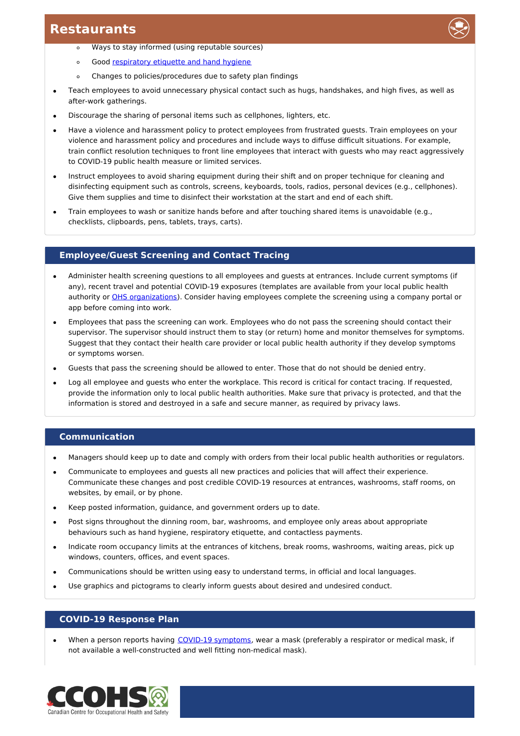- Ways to stay informed (using reputable sources)  $\circ$
- Good [respiratory](https://www.canada.ca/en/public-health/services/diseases/2019-novel-coronavirus-infection/prevention-risks.html#p) etiquette and hand hygiene  $\circ$
- Changes to policies/procedures due to safety plan findings  $\circ$
- Teach employees to avoid unnecessary physical contact such as hugs, handshakes, and high fives, as well as after-work gatherings.
- Discourage the sharing of personal items such as cellphones, lighters, etc.
- Have a violence and harassment policy to protect employees from frustrated guests. Train employees on your violence and harassment policy and procedures and include ways to diffuse difficult situations. For example, train conflict resolution techniques to front line employees that interact with guests who may react aggressively to COVID-19 public health measure or limited services.
- Instruct employees to avoid sharing equipment during their shift and on proper technique for cleaning and disinfecting equipment such as controls, screens, keyboards, tools, radios, personal devices (e.g., cellphones). Give them supplies and time to disinfect their workstation at the start and end of each shift.
- Train employees to wash or sanitize hands before and after touching shared items is unavoidable (e.g., checklists, clipboards, pens, tablets, trays, carts).

## **Employee/Guest Screening and Contact Tracing**

- Administer health screening questions to all employees and guests at entrances. Include current symptoms (if any), recent travel and potential COVID-19 exposures (templates are available from your local public health authority or OHS [organizations](https://www.ccohs.ca/images/products/pandemiccovid19/pdf/covid-screen-tool.pdf)). Consider having employees complete the screening using a company portal or app before coming into work.
- Employees that pass the screening can work. Employees who do not pass the screening should contact their supervisor. The supervisor should instruct them to stay (or return) home and monitor themselves for symptoms. Suggest that they contact their health care provider or local public health authority if they develop symptoms or symptoms worsen.
- Guests that pass the screening should be allowed to enter. Those that do not should be denied entry.
- Log all employee and guests who enter the workplace. This record is critical for contact tracing. If requested, provide the information only to local public health authorities. Make sure that privacy is protected, and that the information is stored and destroyed in a safe and secure manner, as required by privacy laws.

## **Communication**

- Managers should keep up to date and comply with orders from their local public health authorities or regulators.  $\bullet$
- Communicate to employees and guests all new practices and policies that will affect their experience. Communicate these changes and post credible COVID-19 resources at entrances, washrooms, staff rooms, on websites, by email, or by phone.
- Keep posted information, guidance, and government orders up to date.
- Post signs throughout the dinning room, bar, washrooms, and employee only areas about appropriate behaviours such as hand hygiene, respiratory etiquette, and contactless payments.
- Indicate room occupancy limits at the entrances of kitchens, break rooms, washrooms, waiting areas, pick up windows, counters, offices, and event spaces.
- Communications should be written using easy to understand terms, in official and local languages.
- Use graphics and pictograms to clearly inform guests about desired and undesired conduct.

### **COVID-19 Response Plan**

When a person reports having COVID-19 [symptoms](https://www.canada.ca/en/public-health/services/diseases/2019-novel-coronavirus-infection/symptoms.html#s), wear a mask (preferably a respirator or medical mask, if not available a well-constructed and well fitting non-medical mask).

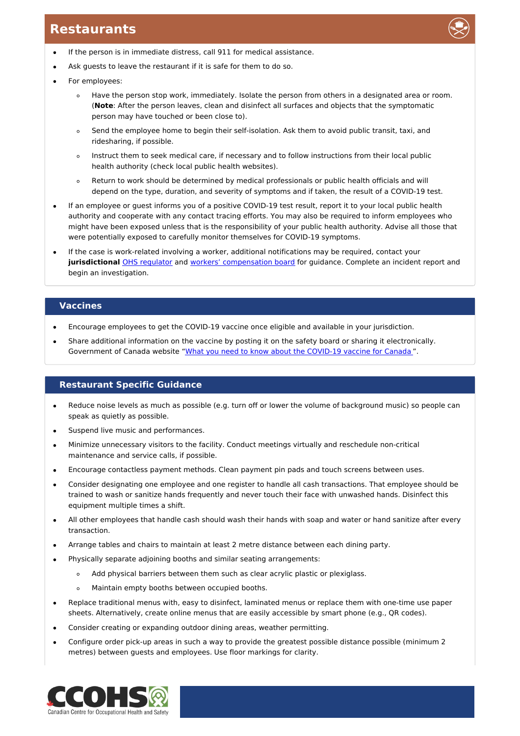- If the person is in immediate distress, call 911 for medical assistance.  $\bullet$
- Ask guests to leave the restaurant if it is safe for them to do so.
- For employees:
	- Have the person stop work, immediately. Isolate the person from others in a designated area or room.  $\circ$ (**Note**: After the person leaves, clean and disinfect all surfaces and objects that the symptomatic person may have touched or been close to).
	- Send the employee home to begin their self-isolation. Ask them to avoid public transit, taxi, and  $\circ$ ridesharing, if possible.
	- Instruct them to seek medical care, if necessary and to follow instructions from their local public  $\circ$ health authority (check local public health websites).
	- Return to work should be determined by medical professionals or public health officials and will  $\circ$ depend on the type, duration, and severity of symptoms and if taken, the result of a COVID-19 test.
- If an employee or guest informs you of a positive COVID-19 test result, report it to your local public health authority and cooperate with any contact tracing efforts. You may also be required to inform employees who might have been exposed unless that is the responsibility of your public health authority. Advise all those that were potentially exposed to carefully monitor themselves for COVID-19 symptoms.
- If the case is work-related involving a worker, additional notifications may be required, contact your **jurisdictional** OHS [regulator](https://www.ccohs.ca/oshanswers/information/govt.html) and workers' [compensation](https://www.ccohs.ca/oshanswers/information/wcb_canada.html) board for guidance. Complete an incident report and begin an investigation.

### **Vaccines**

- Encourage employees to get the COVID-19 vaccine once eligible and available in your jurisdiction.
- Share additional information on the vaccine by posting it on the safety board or sharing it electronically. Government of Canada website "What you need to know about the [COVID-19](https://www.canada.ca/content/dam/phac-aspc/documents/services/publications/diseases-conditions/what-you-need-to-know-covid-19-vaccine/what-you-need-to-know-covid-19-vaccine-eng.pdf) vaccine for Canada".

### **Restaurant Specific Guidance**

- Reduce noise levels as much as possible (e.g. turn off or lower the volume of background music) so people can speak as quietly as possible.
- Suspend live music and performances.
- Minimize unnecessary visitors to the facility. Conduct meetings virtually and reschedule non-critical maintenance and service calls, if possible.
- Encourage contactless payment methods. Clean payment pin pads and touch screens between uses.
- Consider designating one employee and one register to handle all cash transactions. That employee should be  $\bullet$ trained to wash or sanitize hands frequently and never touch their face with unwashed hands. Disinfect this equipment multiple times a shift.
- All other employees that handle cash should wash their hands with soap and water or hand sanitize after every transaction.
- Arrange tables and chairs to maintain at least 2 metre distance between each dining party.
- Physically separate adjoining booths and similar seating arrangements:
	- Add physical barriers between them such as clear acrylic plastic or plexiglass.  $\circ$
	- Maintain empty booths between occupied booths.
- Replace traditional menus with, easy to disinfect, laminated menus or replace them with one-time use paper sheets. Alternatively, create online menus that are easily accessible by smart phone (e.g., QR codes).
- Consider creating or expanding outdoor dining areas, weather permitting.
- Configure order pick-up areas in such a way to provide the greatest possible distance possible (minimum 2 metres) between guests and employees. Use floor markings for clarity.